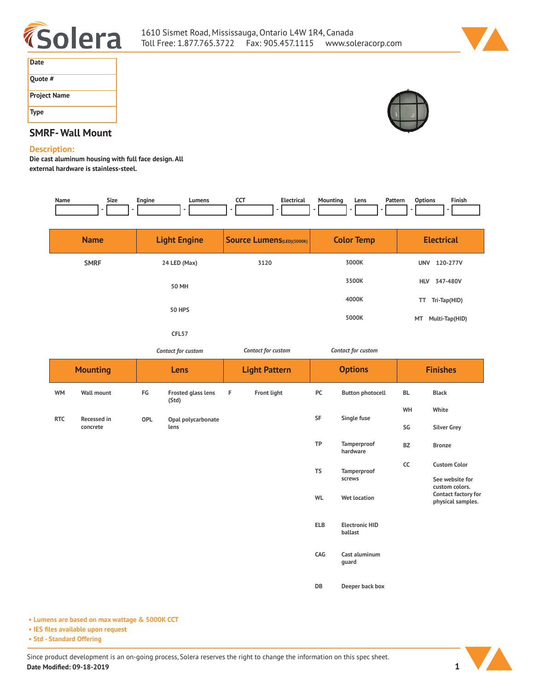



| Date                |
|---------------------|
| Quote #             |
| <b>Project Name</b> |
| <b>Type</b>         |



# **SMRF- Wall Mount**

#### **Description:**

**Die cast aluminum housing with full face design. All external hardware is stainless-steel.** 

| Name        | Size                    | Engine                        | Lumens                             |                                  | CCT<br><b>Electrical</b> | <b>Mounting</b><br>$\overline{a}$ | Pattern<br>Lens                  | <b>Options</b>                                             | Finish                                 |  |
|-------------|-------------------------|-------------------------------|------------------------------------|----------------------------------|--------------------------|-----------------------------------|----------------------------------|------------------------------------------------------------|----------------------------------------|--|
| <b>Name</b> |                         | <b>Light Engine</b>           |                                    | <b>Source Lumens(LED)(5000K)</b> |                          |                                   | <b>Color Temp</b>                |                                                            | <b>Electrical</b>                      |  |
|             | <b>SMRF</b>             | 24 LED (Max)                  |                                    | 3120                             |                          | 3000K<br>3500K                    |                                  | UNV 120-277V<br>347-480V<br><b>HLV</b>                     |                                        |  |
|             |                         | <b>50 MH</b><br><b>50 HPS</b> |                                    |                                  |                          |                                   | 4000K                            |                                                            | TT Tri-Tap(HID)                        |  |
|             |                         |                               | CFL57                              |                                  |                          | 5000K                             |                                  | MT Multi-Tap(HID)                                          |                                        |  |
|             |                         | Contact for custom            |                                    | Contact for custom               |                          | Contact for custom                |                                  |                                                            |                                        |  |
|             | <b>Mounting</b>         |                               | Lens                               |                                  | <b>Light Pattern</b>     |                                   | <b>Options</b>                   |                                                            | <b>Finishes</b>                        |  |
| <b>WM</b>   | <b>Wall mount</b>       | FG                            | <b>Frosted glass lens</b><br>(Std) | F                                | <b>Front light</b>       | PC                                | <b>Button photocell</b>          | BL                                                         | <b>Black</b>                           |  |
| <b>RTC</b>  | Recessed in<br>concrete | OPL                           | Opal polycarbonate<br>lens         |                                  |                          | SF                                | Single fuse                      | WH<br>SG                                                   | White<br><b>Silver Grey</b>            |  |
|             |                         |                               |                                    |                                  |                          | TP                                | Tamperproof<br>hardware          | BZ                                                         | <b>Bronze</b>                          |  |
|             |                         |                               |                                    |                                  |                          | <b>TS</b>                         | Tamperproof<br>screws            | cc                                                         | <b>Custom Color</b><br>See website for |  |
|             |                         |                               |                                    |                                  | WL                       | <b>Wet location</b>               |                                  | custom colors.<br>Contact factory for<br>physical samples. |                                        |  |
|             |                         |                               |                                    |                                  |                          | <b>ELB</b>                        | <b>Electronic HID</b><br>ballast |                                                            |                                        |  |
|             |                         |                               |                                    |                                  |                          | CAG                               | Cast aluminum<br>guard           |                                                            |                                        |  |
|             |                         |                               |                                    |                                  |                          | DB                                | Deeper back box                  |                                                            |                                        |  |

**• Lumens are based on max wattage & 5000K CCT**

**• IES files available upon request**

**• Std - Standard Offering**